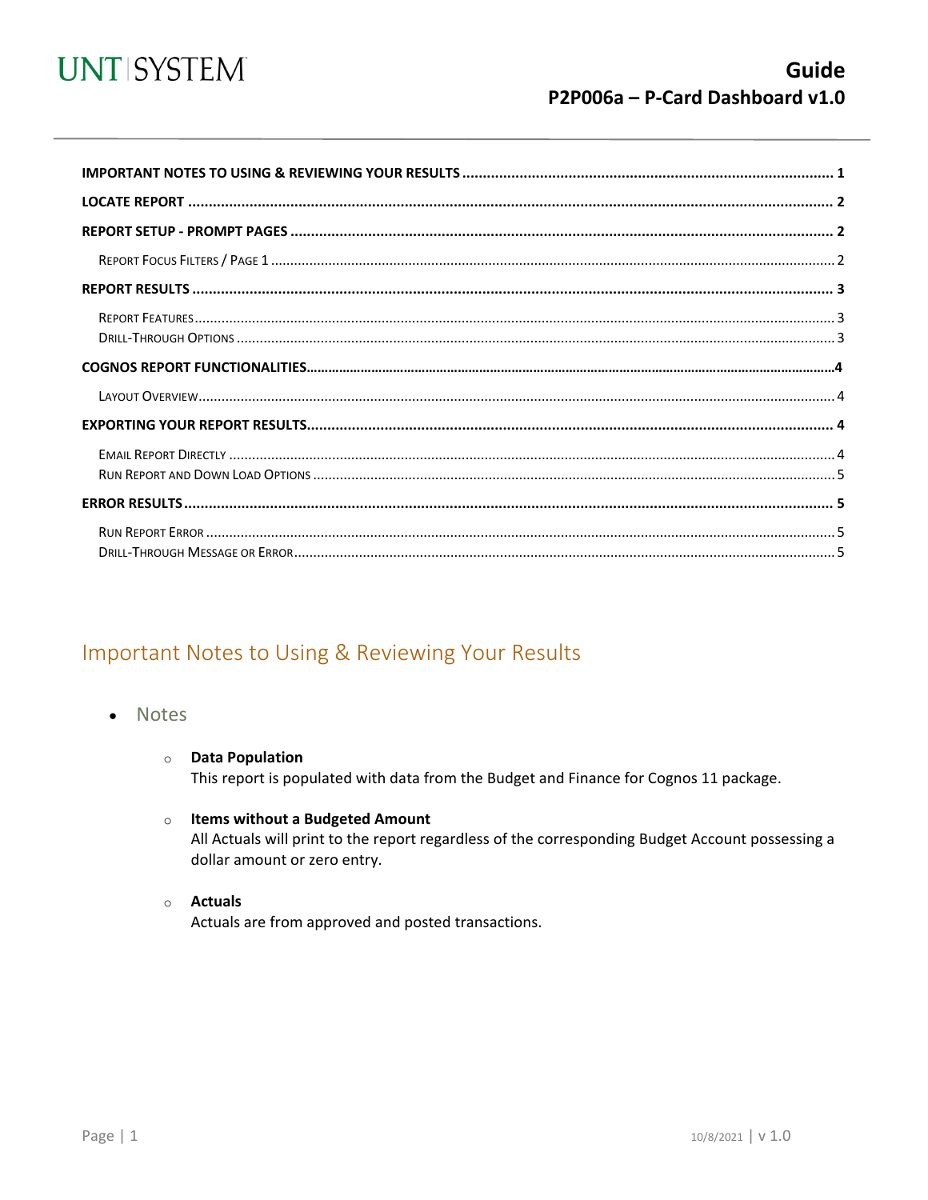

<span id="page-0-0"></span>

### Important Notes to Using & Reviewing Your Results

- Notes
	- **O** Data Population This report is populated with data from the Budget and Finance for Cognos 11 package.
	- $\circ$  Items without a Budgeted Amount All Actuals will print to the report regardless of the corresponding Budget Account possessing a dollar amount or zero entry.
	- $\circ$  Actuals

Actuals are from approved and posted transactions.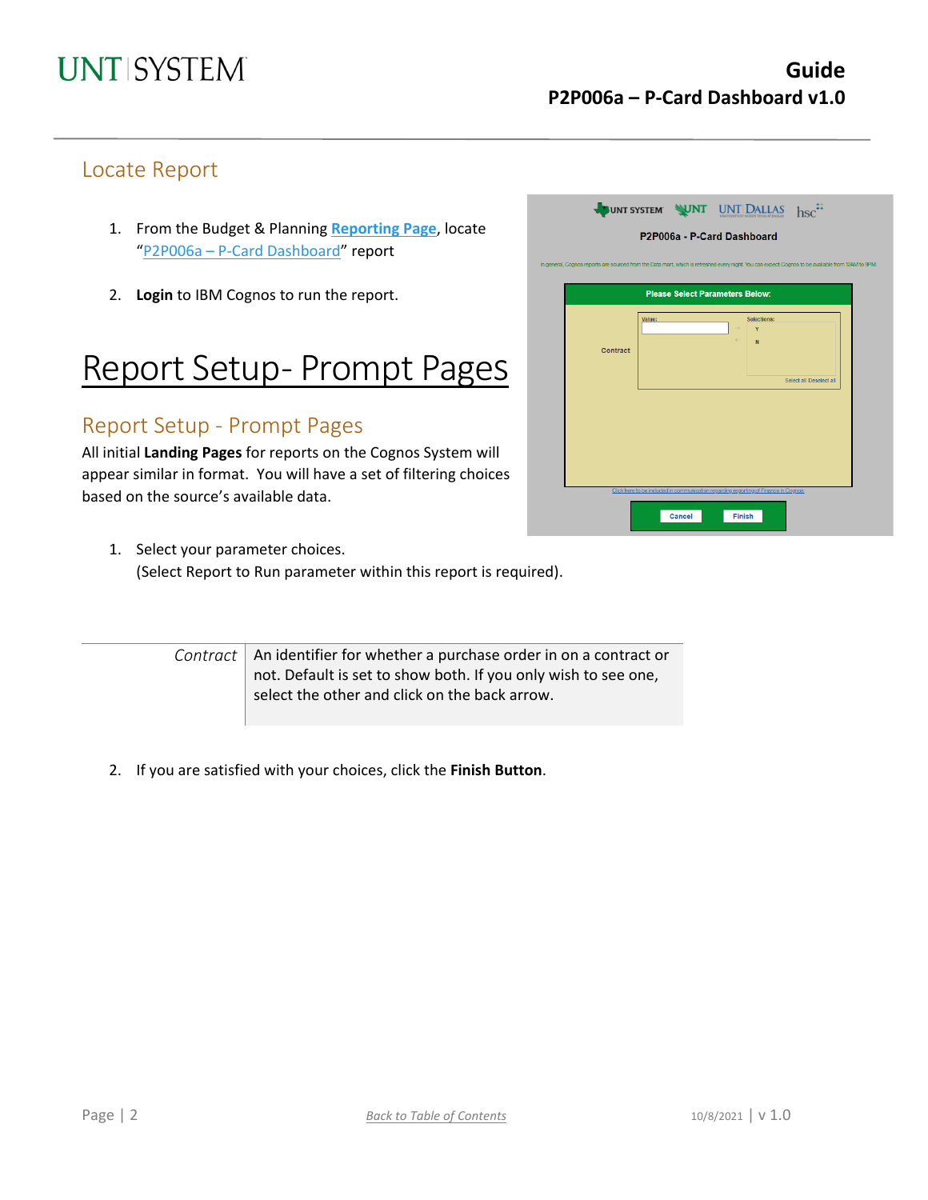### Locate Report

- 1. From the Budget & Planning **[Reporting Page](https://finance.untsystem.edu/reporting)**, locate "P2P006a – [P-Card Dashboard"](https://cognospd.admin.unt.edu/bi/?pathRef=.public_folders%2FProcurement%2FP2P006a%2B-%2BP-Card%2BDashboard&action=run&format=HTML&prompt=false&promptParameters=%5B%7B%22name%22%3A%22p_CONTRACT%22%2C%22value%22%3A%5B%7B%22use%22%3A%22Y%22%7D%2C%7B%22use%22%3A%22N%22%7D%5D%7D%5D) report
- 2. **Login** to IBM Cognos to run the report.

## Report Setup- Prompt Pages

### Report Setup - Prompt Pages

All initial **Landing Pages** for reports on the Cognos System will appear similar in format. You will have a set of filtering choices based on the source's available data.

- JUNT SYSTEM WINT UNT DALLAS hsc<sup>::</sup> P2P006a - P-Card Dashboard **Please Select Para** neters Relov Contract Select all Desele  $Cancel$ Finish
- 1. Select your parameter choices. (Select Report to Run parameter within this report is required).

*Contract* | An identifier for whether a purchase order in on a contract or not. Default is set to show both. If you only wish to see one, select the other and click on the back arrow.

2. If you are satisfied with your choices, click the **Finish Button**.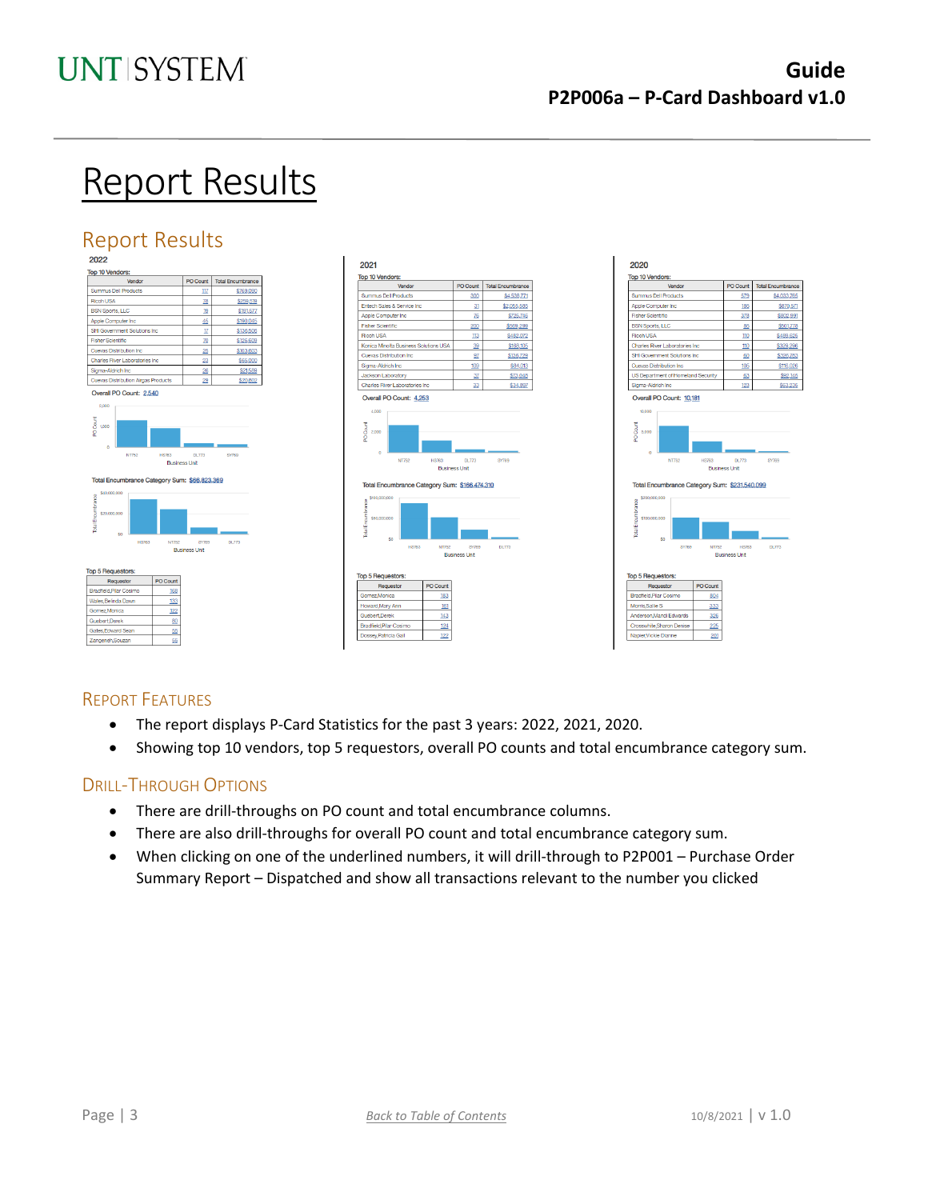## Report Results

## Report Results







#### REPORT FEATURES

Guebert, Derek

- The report displays P-Card Statistics for the past 3 years: 2022, 2021, 2020.
- Showing top 10 vendors, top 5 requestors, overall PO counts and total encumbrance category sum.

#### DRILL-THROUGH OPTIONS

 $80$ 

 $\frac{55}{2}$ 

- There are drill-throughs on PO count and total encumbrance columns.
- There are also drill-throughs for overall PO count and total encumbrance category sum.
- When clicking on one of the underlined numbers, it will drill-through to P2P001 Purchase Order Summary Report – Dispatched and show all transactions relevant to the number you clicked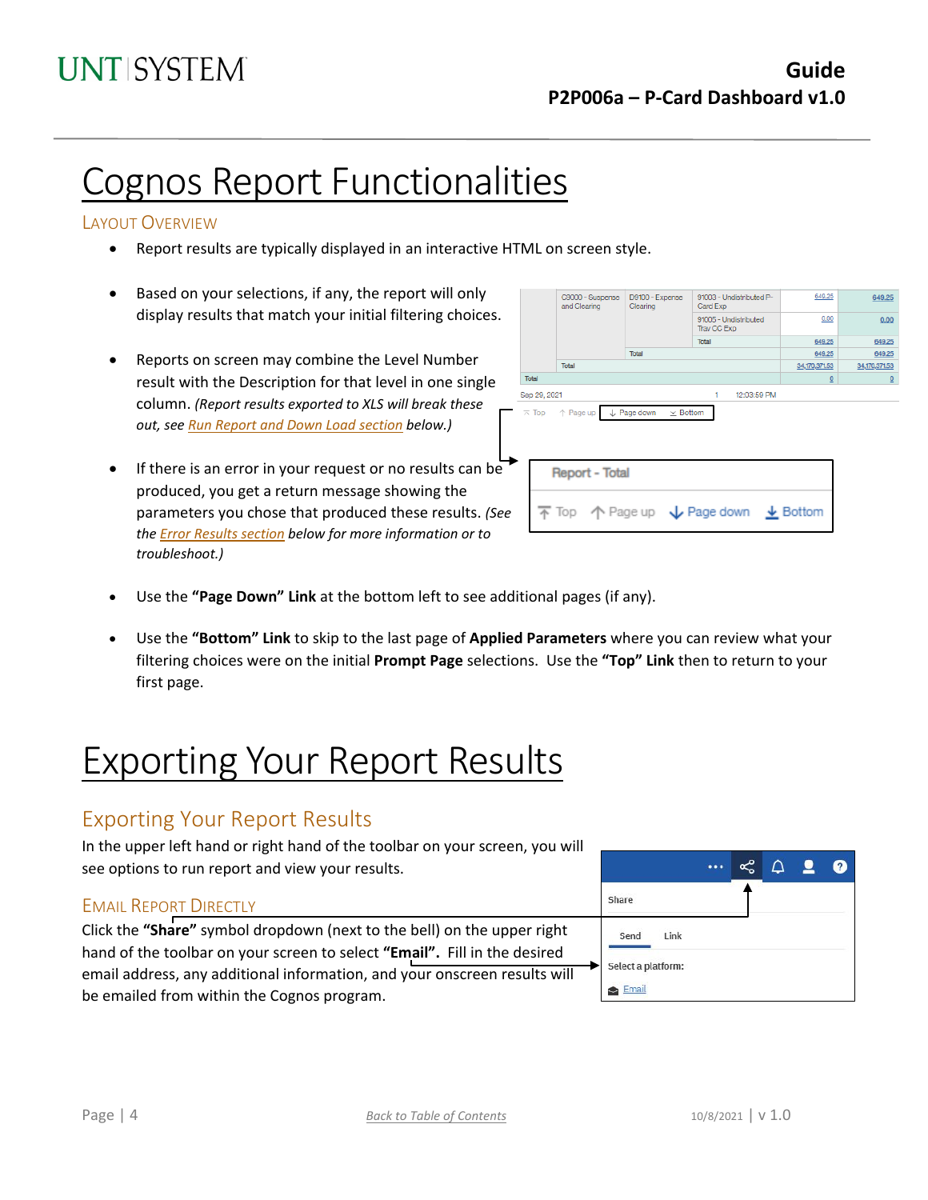## Cognos Report Functionalities

#### LAYOUT OVERVIEW

- Report results are typically displayed in an interactive HTML on screen style.
- Based on your selections, if any, the report will only display results that match your initial filtering choices.
- Reports on screen may combine the Level Number result with the Description for that level in one single column. *(Report results exported to XLS will break these out, see Run Report and Down Load section below.)*
- If there is an error in your request or no results can be produced, you get a return message showing the parameters you chose that produced these results. *(See th[e Error Results section](#page-4-0) below for more information or to troubleshoot.)*

|                                                                                     |                                  | C9000 - Suspense<br>and Clearing                                                        | D9100 - Expense<br>Clearing | 91003 - Undistributed P-<br>Card Exp | 649.25                   | 649.25         |  |  |
|-------------------------------------------------------------------------------------|----------------------------------|-----------------------------------------------------------------------------------------|-----------------------------|--------------------------------------|--------------------------|----------------|--|--|
|                                                                                     |                                  | Total                                                                                   |                             | 91005 - Undistributed<br>Trav CC Exp | 0.00                     | 0.00           |  |  |
|                                                                                     |                                  |                                                                                         | Total                       | 649.25                               | 649.25                   |                |  |  |
|                                                                                     |                                  |                                                                                         |                             |                                      | 649.25                   | 649.25         |  |  |
|                                                                                     |                                  | Total                                                                                   |                             |                                      | 34,170,371.53            | 34,170,371.53  |  |  |
|                                                                                     | Total                            |                                                                                         |                             |                                      | $\underline{\mathsf{O}}$ | $\overline{0}$ |  |  |
|                                                                                     | Sep 29, 2021<br>12:03:59 PM<br>1 |                                                                                         |                             |                                      |                          |                |  |  |
| Page down<br>$\uparrow$ Page up<br>$\times$ Bottom<br>$\overline{\wedge}$ Top<br>J. |                                  |                                                                                         |                             |                                      |                          |                |  |  |
|                                                                                     | <b>Report - Total</b>            |                                                                                         |                             |                                      |                          |                |  |  |
|                                                                                     |                                  | $\overline{\uparrow}$ Top $\uparrow$ Page up $\downarrow$ Page down $\downarrow$ Bottom |                             |                                      |                          |                |  |  |
|                                                                                     |                                  |                                                                                         |                             |                                      |                          |                |  |  |

- Use the **"Page Down" Link** at the bottom left to see additional pages (if any).
- Use the **"Bottom" Link** to skip to the last page of **Applied Parameters** where you can review what your filtering choices were on the initial **Prompt Page** selections. Use the **"Top" Link** then to return to your first page.

## Exporting Your Report Results

### Exporting Your Report Results

In the upper left hand or right hand of the toolbar on your screen, you will see options to run report and view your results.

#### EMAIL REPORT DIRECTLY

Click the **"Share"** symbol dropdown (next to the bell) on the upper right hand of the toolbar on your screen to select **"Email".** Fill in the desired email address, any additional information, and your onscreen results will be emailed from within the Cognos program.